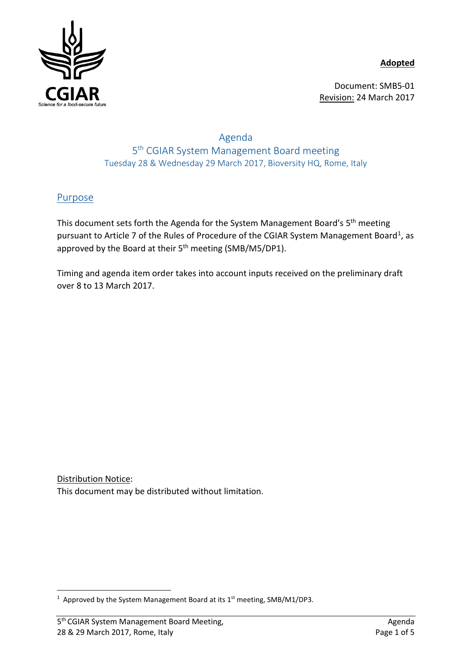**Adopted**



Document: SMB5-01 Revision: 24 March 2017

## Agenda 5th CGIAR System Management Board meeting Tuesday 28 & Wednesday 29 March 2017, Bioversity HQ, Rome, Italy

# Purpose

This document sets forth the Agenda for the System Management Board's 5th meeting pursuant to Article 7 of the Rules of Procedure of the CGIAR System Management Board<sup>[1](#page-0-0)</sup>, as approved by the Board at their 5<sup>th</sup> meeting (SMB/M5/DP1).

Timing and agenda item order takes into account inputs received on the preliminary draft over 8 to 13 March 2017.

Distribution Notice: This document may be distributed without limitation.

<span id="page-0-0"></span> $\frac{1}{1}$ <sup>1</sup> Approved by the System Management Board at its  $1<sup>st</sup>$  meeting, SMB/M1/DP3.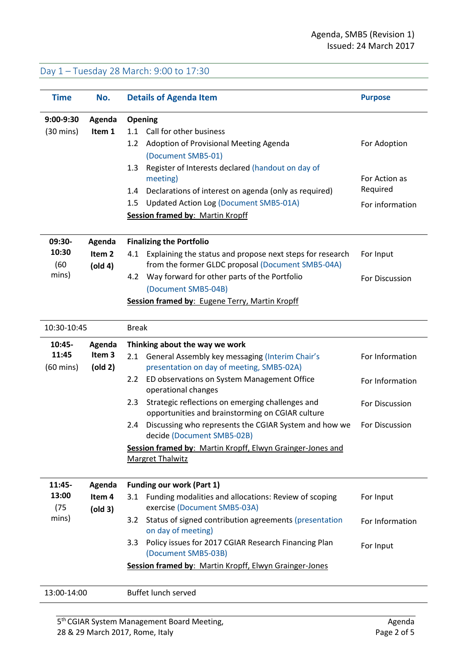### Day 1 – Tuesday 28 March: 9:00 to 17:30

| <b>Time</b>         | No.                          | <b>Details of Agenda Item</b>                                                                                         | <b>Purpose</b>  |
|---------------------|------------------------------|-----------------------------------------------------------------------------------------------------------------------|-----------------|
| 9:00-9:30           | Agenda                       | Opening                                                                                                               |                 |
| $(30 \text{ mins})$ | Item 1                       | 1.1 Call for other business                                                                                           |                 |
|                     |                              | Adoption of Provisional Meeting Agenda<br>1.2                                                                         | For Adoption    |
|                     |                              | (Document SMB5-01)                                                                                                    |                 |
|                     |                              | Register of Interests declared (handout on day of<br>1.3                                                              |                 |
|                     |                              | meeting)                                                                                                              | For Action as   |
|                     |                              | Declarations of interest on agenda (only as required)<br>1.4                                                          | Required        |
|                     |                              | Updated Action Log (Document SMB5-01A)<br>$1.5\,$                                                                     | For information |
|                     |                              | <b>Session framed by: Martin Kropff</b>                                                                               |                 |
| 09:30-              | Agenda                       | <b>Finalizing the Portfolio</b>                                                                                       |                 |
| 10:30<br>(60)       | Item <sub>2</sub><br>(old 4) | Explaining the status and propose next steps for research<br>4.1<br>from the former GLDC proposal (Document SMB5-04A) | For Input       |
| mins)               |                              | Way forward for other parts of the Portfolio<br>4.2                                                                   | For Discussion  |
|                     |                              | (Document SMB5-04B)                                                                                                   |                 |
|                     |                              | Session framed by: Eugene Terry, Martin Kropff                                                                        |                 |
| 10:30-10:45         |                              | <b>Break</b>                                                                                                          |                 |
| 10:45-              | Agenda                       | Thinking about the way we work                                                                                        |                 |
| 11:45               | Item <sub>3</sub>            | General Assembly key messaging (Interim Chair's<br>2.1                                                                | For Information |
| $(60 \text{ mins})$ | (old 2)                      | presentation on day of meeting, SMB5-02A)                                                                             |                 |
|                     |                              | ED observations on System Management Office<br>2.2<br>operational changes                                             | For Information |
|                     |                              | Strategic reflections on emerging challenges and<br>2.3<br>opportunities and brainstorming on CGIAR culture           | For Discussion  |
|                     |                              | Discussing who represents the CGIAR System and how we<br>2.4<br>decide (Document SMB5-02B)                            | For Discussion  |
|                     |                              | Session framed by: Martin Kropff, Elwyn Grainger-Jones and                                                            |                 |
|                     |                              | <b>Margret Thalwitz</b>                                                                                               |                 |
| 11:45-              | Agenda                       | <b>Funding our work (Part 1)</b>                                                                                      |                 |
| 13:00               | Item 4                       | Funding modalities and allocations: Review of scoping<br>3.1                                                          | For Input       |
| (75)                | (old 3)                      | exercise (Document SMB5-03A)                                                                                          |                 |
| mins)               |                              | 3.2<br>Status of signed contribution agreements (presentation<br>on day of meeting)                                   | For Information |
|                     |                              | Policy issues for 2017 CGIAR Research Financing Plan<br>3.3<br>(Document SMB5-03B)                                    | For Input       |
|                     |                              | Session framed by: Martin Kropff, Elwyn Grainger-Jones                                                                |                 |
| 13:00-14:00         |                              | Buffet lunch served                                                                                                   |                 |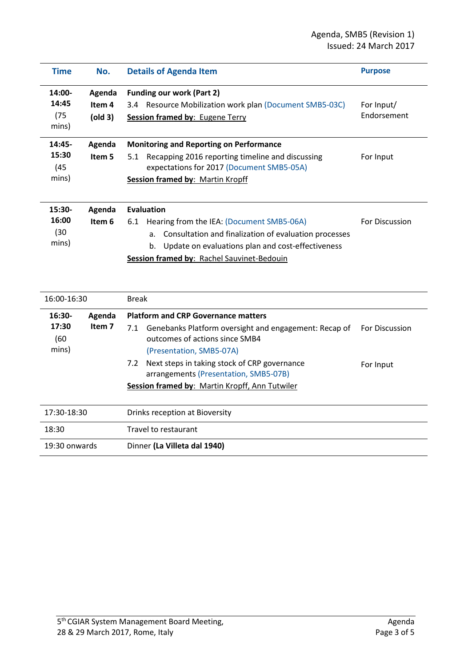| <b>Time</b>                        | No.                         | <b>Details of Agenda Item</b>                                                                                                                                                                                                                 | <b>Purpose</b>            |
|------------------------------------|-----------------------------|-----------------------------------------------------------------------------------------------------------------------------------------------------------------------------------------------------------------------------------------------|---------------------------|
| 14:00-<br>14:45<br>(75)<br>mins)   | Agenda<br>Item 4<br>(old 3) | <b>Funding our work (Part 2)</b><br>3.4 Resource Mobilization work plan (Document SMB5-03C)<br><b>Session framed by: Eugene Terry</b>                                                                                                         | For Input/<br>Endorsement |
| $14:45-$<br>15:30<br>(45)<br>mins) | Agenda<br>Item 5            | <b>Monitoring and Reporting on Performance</b><br>Recapping 2016 reporting timeline and discussing<br>5.1<br>expectations for 2017 (Document SMB5-05A)<br><b>Session framed by: Martin Kropff</b>                                             | For Input                 |
| 15:30-<br>16:00<br>(30)<br>mins)   | Agenda<br>Item 6            | <b>Evaluation</b><br>Hearing from the IEA: (Document SMB5-06A)<br>6.1<br>Consultation and finalization of evaluation processes<br>a.<br>Update on evaluations plan and cost-effectiveness<br>b.<br>Session framed by: Rachel Sauvinet-Bedouin | For Discussion            |

| 16:00-16:30   |        | Break                                                                                          |                       |  |
|---------------|--------|------------------------------------------------------------------------------------------------|-----------------------|--|
| $16:30-$      | Agenda | <b>Platform and CRP Governance matters</b>                                                     |                       |  |
| 17:30<br>(60  | Item 7 | Genebanks Platform oversight and engagement: Recap of<br>7.1<br>outcomes of actions since SMB4 | <b>For Discussion</b> |  |
| mins)         |        | (Presentation, SMB5-07A)                                                                       |                       |  |
|               |        | Next steps in taking stock of CRP governance<br>7.2<br>arrangements (Presentation, SMB5-07B)   | For Input             |  |
|               |        | Session framed by: Martin Kropff, Ann Tutwiler                                                 |                       |  |
|               |        |                                                                                                |                       |  |
| 17:30-18:30   |        | Drinks reception at Bioversity                                                                 |                       |  |
| 18:30         |        | Travel to restaurant                                                                           |                       |  |
| 19:30 onwards |        | Dinner (La Villeta dal 1940)                                                                   |                       |  |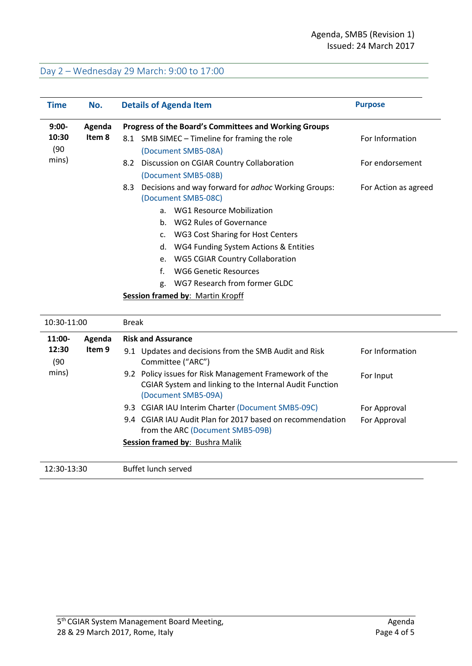# Day 2 – Wednesday 29 March: 9:00 to 17:00

| <b>Time</b>   | No.    | <b>Details of Agenda Item</b>                                                                                                            | <b>Purpose</b>       |
|---------------|--------|------------------------------------------------------------------------------------------------------------------------------------------|----------------------|
| $9:00-$       | Agenda | Progress of the Board's Committees and Working Groups                                                                                    |                      |
| 10:30<br>(90) | Item 8 | 8.1 SMB SIMEC - Timeline for framing the role<br>(Document SMB5-08A)                                                                     | For Information      |
| mins)         |        | Discussion on CGIAR Country Collaboration<br>8.2<br>(Document SMB5-08B)                                                                  | For endorsement      |
|               |        | Decisions and way forward for adhoc Working Groups:<br>8.3<br>(Document SMB5-08C)                                                        | For Action as agreed |
|               |        | <b>WG1 Resource Mobilization</b><br>a.                                                                                                   |                      |
|               |        | <b>WG2 Rules of Governance</b><br>b.                                                                                                     |                      |
|               |        | <b>WG3 Cost Sharing for Host Centers</b><br>c.                                                                                           |                      |
|               |        | WG4 Funding System Actions & Entities<br>d.                                                                                              |                      |
|               |        | <b>WG5 CGIAR Country Collaboration</b><br>e.                                                                                             |                      |
|               |        | f.<br><b>WG6 Genetic Resources</b>                                                                                                       |                      |
|               |        | WG7 Research from former GLDC<br>g.                                                                                                      |                      |
|               |        | <b>Session framed by: Martin Kropff</b>                                                                                                  |                      |
| 10:30-11:00   |        | <b>Break</b>                                                                                                                             |                      |
| 11:00-        | Agenda | <b>Risk and Assurance</b>                                                                                                                |                      |
| 12:30<br>(90) | Item 9 | 9.1 Updates and decisions from the SMB Audit and Risk<br>Committee ("ARC")                                                               | For Information      |
| mins)         |        | 9.2 Policy issues for Risk Management Framework of the<br>CGIAR System and linking to the Internal Audit Function<br>(Document SMB5-09A) | For Input            |
|               |        | 9.3 CGIAR IAU Interim Charter (Document SMB5-09C)                                                                                        | For Approval         |
|               |        | 9.4 CGIAR IAU Audit Plan for 2017 based on recommendation<br>from the ARC (Document SMB5-09B)                                            | For Approval         |

#### **Session framed by**: Bushra Malik

12:30-13:30 Buffet lunch served